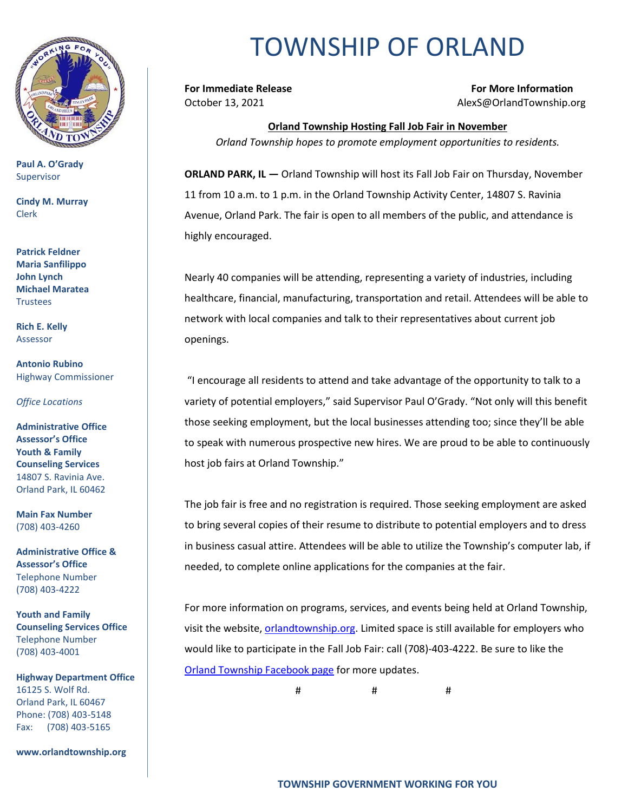

**Paul A. O'Grady** Supervisor

**Cindy M. Murray** Clerk

**Patrick Feldner Maria Sanfilippo John Lynch Michael Maratea Trustees** 

**Rich E. Kelly** Assessor

**Antonio Rubino** Highway Commissioner

*Office Locations*

**Administrative Office Assessor's Office Youth & Family Counseling Services** 14807 S. Ravinia Ave. Orland Park, IL 60462

**Main Fax Number**  (708) 403-4260

**Administrative Office & Assessor's Office**  Telephone Number (708) 403-4222

**Youth and Family Counseling Services Office**  Telephone Number (708) 403-4001

**Highway Department Office** 16125 S. Wolf Rd. Orland Park, IL 60467 Phone: (708) 403-5148 Fax: (708) 403-5165

**www.orlandtownship.org**

## TOWNSHIP OF ORLAND

**For Immediate Release For More Information** October 13, 2021 AlexS@OrlandTownship.org

**Orland Township Hosting Fall Job Fair in November** *Orland Township hopes to promote employment opportunities to residents.*

**ORLAND PARK, IL —** Orland Township will host its Fall Job Fair on Thursday, November 11 from 10 a.m. to 1 p.m. in the Orland Township Activity Center, 14807 S. Ravinia Avenue, Orland Park. The fair is open to all members of the public, and attendance is highly encouraged.

Nearly 40 companies will be attending, representing a variety of industries, including healthcare, financial, manufacturing, transportation and retail. Attendees will be able to network with local companies and talk to their representatives about current job openings.

"I encourage all residents to attend and take advantage of the opportunity to talk to a variety of potential employers," said Supervisor Paul O'Grady. "Not only will this benefit those seeking employment, but the local businesses attending too; since they'll be able to speak with numerous prospective new hires. We are proud to be able to continuously host job fairs at Orland Township."

The job fair is free and no registration is required. Those seeking employment are asked to bring several copies of their resume to distribute to potential employers and to dress in business casual attire. Attendees will be able to utilize the Township's computer lab, if needed, to complete online applications for the companies at the fair.

For more information on programs, services, and events being held at Orland Township, visit the website, [orlandtownship.org.](http://www.orlandtownship.org/) Limited space is still available for employers who would like to participate in the Fall Job Fair: call (708)-403-4222. Be sure to like the [Orland Township Facebook page](https://www.facebook.com/OrlandTownshipIL/) for more updates.

# # #